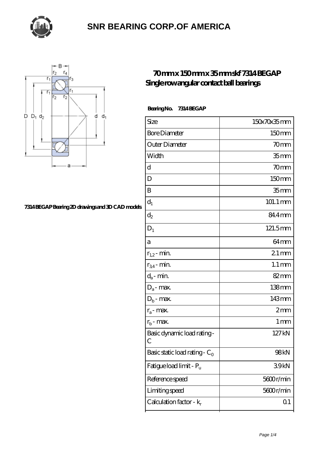



#### **[7314 BEGAP Bearing 2D drawings and 3D CAD models](https://thebestofquebec.com/pic-64978662.html)**

#### **[70 mm x 150 mm x 35 mm skf 7314 BEGAP](https://thebestofquebec.com/bd-64978662-skf-7314-begap-single-row-angular-contact-ball-bearings.html) [Single row angular contact ball bearings](https://thebestofquebec.com/bd-64978662-skf-7314-begap-single-row-angular-contact-ball-bearings.html)**

 **Bearing No. 7314 BEGAP**

| Size                             | 150x70x35mm         |
|----------------------------------|---------------------|
| <b>Bore Diameter</b>             | 150mm               |
| Outer Diameter                   | 70mm                |
| Width                            | 35 <sub>mm</sub>    |
| d                                | 70mm                |
| D                                | 150mm               |
| B                                | 35 <sub>mm</sub>    |
| $d_1$                            | 101.1 mm            |
| $\mathrm{d}_2$                   | 84.4mm              |
| $D_1$                            | 121.5mm             |
| а                                | 64 <sub>mm</sub>    |
| $r_{1,2}$ - min.                 | $21 \,\mathrm{mm}$  |
| $r_{34}$ - min.                  | $1.1 \,\mathrm{mm}$ |
| $d_a$ - min.                     | $82 \text{mm}$      |
| $D_a$ - max.                     | $138 \text{mm}$     |
| $D_b$ - max.                     | 143mm               |
| $r_a$ - max.                     | 2mm                 |
| $r_{b}$ - max.                   | $1 \,\mathrm{mm}$   |
| Basic dynamic load rating-<br>С  | 127kN               |
| Basic static load rating - $C_0$ | 98kN                |
| Fatigue load limit - Pu          | 39kN                |
| Reference speed                  | 5600r/min           |
| Limiting speed                   | 5600r/min           |
| Calculation factor - $k_r$       | Q <sub>1</sub>      |
|                                  |                     |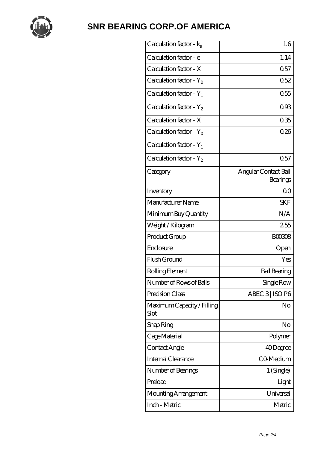

| Calculation factor - ka            | 1.6                              |
|------------------------------------|----------------------------------|
| Calculation factor - e             | 1.14                             |
| Calculation factor - X             | 0.57                             |
| Calculation factor - $Y_0$         | 0.52                             |
| Calculation factor - $Y_1$         | 0.55                             |
| Calculation factor - $Y_2$         | 093                              |
| Calculation factor - X             | 035                              |
| Calculation factor - $Y_0$         | 026                              |
| Calculation factor - $Y_1$         |                                  |
| Calculation factor - $Y_2$         | 0.57                             |
| Category                           | Angular Contact Ball<br>Bearings |
| Inventory                          | 0 <sub>0</sub>                   |
| Manufacturer Name                  | <b>SKF</b>                       |
| Minimum Buy Quantity               | N/A                              |
| Weight / Kilogram                  | 255                              |
| Product Group                      | <b>BOO308</b>                    |
| Enclosure                          | Open                             |
| Flush Ground                       | Yes                              |
| Rolling Element                    | <b>Ball Bearing</b>              |
| Number of Rows of Balls            | Single Row                       |
| Precision Class                    | ABEC 3   ISO P6                  |
| Maximum Capacity / Filling<br>Slot | No                               |
| Snap Ring                          | No                               |
| Cage Material                      | Polymer                          |
| Contact Angle                      | 40Degree                         |
| Internal Clearance                 | CO-Medium                        |
| Number of Bearings                 | 1 (Single)                       |
| Preload                            | Light                            |
| Mounting Arrangement               | Universal                        |
| Inch - Metric                      | Metric                           |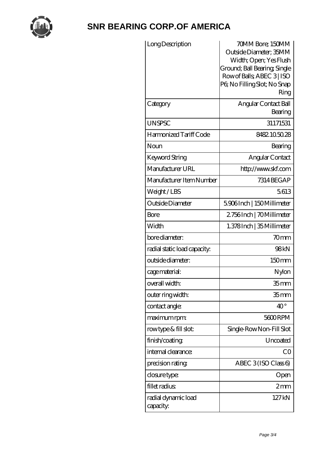

| Long Description<br>Category     | 70MM Bore; 150MM<br>Outside Diameter; 35MM<br>Width; Open; Yes Flush<br>Ground; Ball Bearing, Single<br>Row of Balls, ABEC 3   ISO<br>PG No Filling Slot; No Snap<br>Ring<br>Angular Contact Ball |
|----------------------------------|---------------------------------------------------------------------------------------------------------------------------------------------------------------------------------------------------|
|                                  | Bearing                                                                                                                                                                                           |
| <b>UNSPSC</b>                    | 31171531                                                                                                                                                                                          |
| Harmonized Tariff Code           | 8482105028                                                                                                                                                                                        |
| Noun                             | Bearing                                                                                                                                                                                           |
| <b>Keyword String</b>            | Angular Contact                                                                                                                                                                                   |
| Manufacturer URL                 | http://www.skf.com                                                                                                                                                                                |
| Manufacturer Item Number         | 7314 BEG AP                                                                                                                                                                                       |
| Weight/LBS                       | 5613                                                                                                                                                                                              |
| Outside Diameter                 | 5906Inch   150Millimeter                                                                                                                                                                          |
| Bore                             | 2756Inch   70Millimeter                                                                                                                                                                           |
| Width                            | 1.378Inch   35 Millimeter                                                                                                                                                                         |
| bore diameter:                   | 70mm                                                                                                                                                                                              |
| radial static load capacity:     | 98kN                                                                                                                                                                                              |
| outside diameter:                | 150mm                                                                                                                                                                                             |
| cage material:                   | Nylon                                                                                                                                                                                             |
| overall width:                   | 35 <sub>mm</sub>                                                                                                                                                                                  |
| outer ring width:                | 35 <sub>mm</sub>                                                                                                                                                                                  |
| contact angle:                   | $40^{\circ}$                                                                                                                                                                                      |
| maximum rpm:                     | 5600RPM                                                                                                                                                                                           |
| rowtype & fill slot:             | Single-RowNon-Fill Slot                                                                                                                                                                           |
| finish/coating                   | Uncoated                                                                                                                                                                                          |
| internal clearance:              | CO                                                                                                                                                                                                |
| precision rating                 | ABEC $3$ (ISO Class 6)                                                                                                                                                                            |
| closure type:                    | Open                                                                                                                                                                                              |
| fillet radius                    | $2 \text{mm}$                                                                                                                                                                                     |
| radial dynamic load<br>capacity: | 127kN                                                                                                                                                                                             |